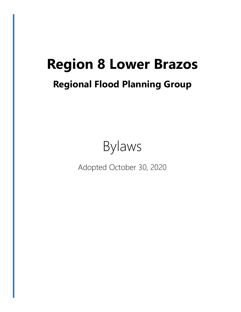# **Region 8 Lower Brazos**

## **Regional Flood Planning Group**

# Bylaws

Adopted October 30, 2020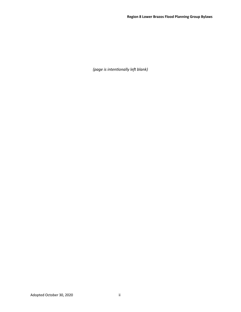*(page is intentionally left blank)*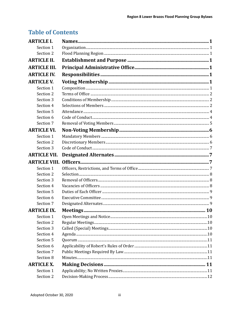## **Table of Contents**

| <b>ARTICLE I.</b>    |  |
|----------------------|--|
| Section 1            |  |
| Section 2            |  |
| <b>ARTICLE II.</b>   |  |
| <b>ARTICLE III.</b>  |  |
| <b>ARTICLE IV.</b>   |  |
| <b>ARTICLE V.</b>    |  |
| Section 1            |  |
| Section 2            |  |
| Section 3            |  |
| Section 4            |  |
| Section 5            |  |
| Section 6            |  |
| Section 7            |  |
| <b>ARTICLE VI.</b>   |  |
| Section 1            |  |
| Section 2            |  |
| Section 3            |  |
| <b>ARTICLE VII.</b>  |  |
|                      |  |
| <b>ARTICLE VIII.</b> |  |
| Section 1            |  |
| Section 2            |  |
| Section 3            |  |
| Section 4            |  |
| Section 5            |  |
| Section 6            |  |
| Section 7            |  |
| <b>ARTICLE IX.</b>   |  |
| Section 1            |  |
| Section 2            |  |
| Section 3            |  |
| Section 4            |  |
| Section 5            |  |
| Section 6            |  |
| Section 7            |  |
| Section 8            |  |
| <b>ARTICLE X.</b>    |  |
| Section 1            |  |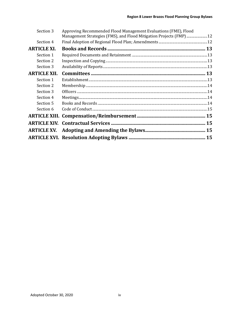| Section 3           | Approving Recommended Flood Management Evaluations (FME), Flood<br>Management Strategies (FMS), and Flood Mitigation Projects (FMP) 12 |  |
|---------------------|----------------------------------------------------------------------------------------------------------------------------------------|--|
| Section 4           |                                                                                                                                        |  |
| <b>ARTICLE XI.</b>  |                                                                                                                                        |  |
| Section 1           |                                                                                                                                        |  |
| Section 2           |                                                                                                                                        |  |
| Section 3           |                                                                                                                                        |  |
| <b>ARTICLE XII.</b> |                                                                                                                                        |  |
| Section 1           |                                                                                                                                        |  |
| Section 2           |                                                                                                                                        |  |
| Section 3           |                                                                                                                                        |  |
| Section 4           |                                                                                                                                        |  |
| Section 5           |                                                                                                                                        |  |
| Section 6           |                                                                                                                                        |  |
|                     |                                                                                                                                        |  |
|                     |                                                                                                                                        |  |
|                     |                                                                                                                                        |  |
|                     |                                                                                                                                        |  |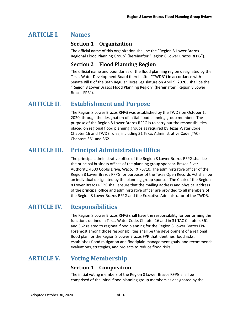## <span id="page-4-2"></span><span id="page-4-1"></span><span id="page-4-0"></span>**ARTICLE I. Names**

#### **Section 1 Organization**

The official name of this organization shall be the "Region 8 Lower Brazos Regional Flood Planning Group" (hereinafter "Region 8 Lower Brazos RFPG").

#### **Section 2 Flood Planning Region**

The official name and boundaries of the flood planning region designated by the Texas Water Development Board (hereinafter "TWDB") in accordance with Senate Bill 8 of the 86th Regular Texas Legislature on April 9, 2020 , shall be the "Region 8 Lower Brazos Flood Planning Region" (hereinafter "Region 8 Lower Brazos FPR").

#### <span id="page-4-3"></span>**ARTICLE II. Establishment and Purpose**

The Region 8 Lower Brazos RFPG was established by the TWDB on October 1, 2020, through the designation of initial flood planning group members. The purpose of the Region 8 Lower Brazos RFPG is to carry out the responsibilities placed on regional flood planning groups as required by Texas Water Code Chapter 16 and TWDB rules, including 31 Texas Administrative Code (TAC) Chapters 361 and 362.

## <span id="page-4-4"></span>**ARTICLE III.** Principal Administrative Office

The principal administrative office of the Region 8 Lower Brazos RFPG shall be the principal business offices of the planning group sponsor, Brazos River Authority, 4600 Cobbs Drive, Waco, TX 76710. The administrative officer of the Region 8 Lower Brazos RFPG for purposes of the Texas Open Records Act shall be an individual designated by the planning group sponsor. The Chair of the Region 8 Lower Brazos RFPG shall ensure that the mailing address and physical address of the principal office and administrative officer are provided to all members of the Region 8 Lower Brazos RFPG and the Executive Administrator of the TWDB.

## <span id="page-4-5"></span>**ARTICLE IV. Responsibilities**

The Region 8 Lower Brazos RFPG shall have the responsibility for performing the functions defined in Texas Water Code, Chapter 16 and in 31 TAC Chapters 361 and 362 related to regional flood planning for the Region 8 Lower Brazos FPR. Foremost among those responsibilities shall be the development of a regional flood plan for the Region 8 Lower Brazos FPR that identifies flood risks, establishes flood mitigation and floodplain management goals, and recommends evaluations, strategies, and projects to reduce flood risks.

## <span id="page-4-7"></span><span id="page-4-6"></span>**ARTICLE V. Voting Membership**

#### **Section 1 Composition**

The initial voting members of the Region 8 Lower Brazos RFPG shall be comprised of the ini�al flood planning group members as designated by the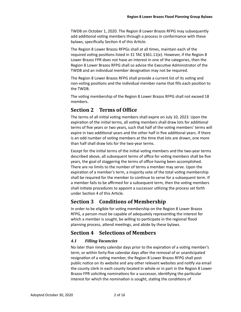TWDB on October 1, 2020. The Region 8 Lower Brazos RFPG may subsequently add additional voting members through a process in conformance with these bylaws, specifically Section 4 of this Article.

The Region 8 Lower Brazos RFPGs shall at all times, maintain each of the required voting positions listed in 31 TAC §361.11(e). However, if the Region 8 Lower Brazos FPR does not have an interest in one of the categories, then the Region 8 Lower Brazos RFPG shall so advise the Executive Administrator of the TWDB and an individual member designation may not be required.

The Region 8 Lower Brazos RFPG shall provide a current list of its voting and non-voting positions and the individual member name that fills each position to the TWDB.

The voting membership of the Region 8 Lower Brazos RFPG shall not exceed 18 members.

#### <span id="page-5-0"></span>**Section 2 Terms of Office**

The terms of all initial voting members shall expire on July 10, 2023. Upon the expiration of the initial terms, all voting members shall draw lots for additional terms of five years or two years, such that half of the voting members' terms will expire in two additional years and the other half in five additional years. If there is an odd number of voting members at the time that lots are drawn, one more than half shall draw lots for the two-year terms.

Except for the initial terms of the initial voting members and the two-year terms described above, all subsequent terms of office for voting members shall be five years, the goal of staggering the terms of office having been accomplished. There are no limits to the number of terms a member may serve. Upon the expiration of a member's term, a majority vote of the total voting membership shall be required for the member to continue to serve for a subsequent term. If a member fails to be affirmed for a subsequent term, then the voting members shall initiate procedures to appoint a successor utilizing the process set forth under Section 4 of this Article.

#### <span id="page-5-1"></span>**Section 3 Conditions of Membership**

In order to be eligible for voting membership on the Region 8 Lower Brazos RFPG, a person must be capable of adequately representing the interest for which a member is sought, be willing to participate in the regional flood planning process, attend meetings, and abide by these bylaws.

#### <span id="page-5-2"></span>**Section 4 Selections of Members**

#### *4.1 Filling Vacancies*

No later than ninety calendar days prior to the expiration of a voting member's term, or within forty-five calendar days a�er the removal of or unan�cipated resignation of a voting member, the Region 8 Lower Brazos RFPG shall post public notice on its website and any other relevant websites and notify via email the county clerk in each county located in whole or in part in the Region 8 Lower Brazos FPR soliciting nominations for a successor, identifying the particular interest for which the nomination is sought, stating the conditions of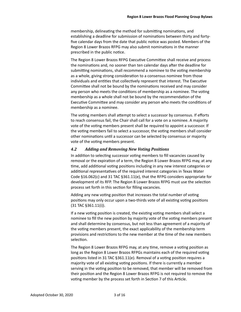membership, delineating the method for submitting nominations, and establishing a deadline for submission of nominations between thirty and fortyfive calendar days from the date that public notice was posted. Members of the Region 8 Lower Brazos RFPG may also submit nominations in the manner prescribed in the public notice.

The Region 8 Lower Brazos RFPG Executive Committee shall receive and process the nominations and, no sooner than ten calendar days after the deadline for submitting nominations, shall recommend a nominee to the voting membership as a whole, giving strong consideration to a consensus nominee from those individuals and entities that collectively represent that interest. The Executive Committee shall not be bound by the nominations received and may consider any person who meets the conditions of membership as a nominee. The voting membership as a whole shall not be bound by the recommendation of the Executive Committee and may consider any person who meets the conditions of membership as a nominee.

The voting members shall attempt to select a successor by consensus. If efforts to reach consensus fail, the Chair shall call for a vote on a nominee. A majority vote of the voting members present shall be required to appoint a successor. If the voting members fail to select a successor, the voting members shall consider other nominations until a successor can be selected by consensus or majority vote of the voting members present.

#### *4.2 Adding and Removing New Voting Positions*

In addition to selecting successor voting members to fill vacancies caused by removal or the expiration of a term, the Region 8 Lower Brazos RFPG may, at any time, add additional voting positions including in any new interest categories or additional representatives of the required interest categories in Texas Water Code §16.062(c) and 31 TAC §361.11(e), that the RFPG considers appropriate for development of its RFP. The Region 8 Lower Brazos RFPG must use the selection process set forth in this section for filling vacancies.

Adding any new voting position that increases the total number of voting positions may only occur upon a two-thirds vote of all existing voting positions (31 TAC §361.11(i)).

If a new voting position is created, the existing voting members shall select a nominee to fill the new position by majority vote of the voting members present and shall determine by consensus, but not less than agreement of a majority of the voting members present, the exact applicability of the membership term provisions and restrictions to the new member at the time of the new members selection.

The Region 8 Lower Brazos RFPG may, at any time, remove a voting position as long as the Region 8 Lower Brazos RFPGs maintains each of the required voting positions listed in 31 TAC §361.11(e). Removal of a voting position requires a majority vote of all existing voting positions. If there is currently a member serving in the voting position to be removed, that member will be removed from their position and the Region 8 Lower Brazos RFPG is not required to remove the voting member by the process set forth in Section 7 of this Article.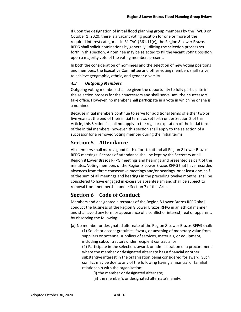If upon the designation of initial flood planning group members by the TWDB on October 1, 2020, there is a vacant voting position for one or more of the required interest categories in 31 TAC §361.11(e), the Region 8 Lower Brazos RFPG shall solicit nominations by generally utilizing the selection process set forth in this section, A nominee may be selected to fill the vacant voting position upon a majority vote of the voting members present.

In both the consideration of nominees and the selection of new voting positions and members, the Executive Committee and other voting members shall strive to achieve geographic, ethnic, and gender diversity.

#### *4.3 Outgoing Members*

Outgoing voting members shall be given the opportunity to fully participate in the selection process for their successors and shall serve until their successors take office. However, no member shall participate in a vote in which he or she is a nominee.

Because initial members continue to serve for additional terms of either two or five years at the end of their initial terms as set forth under Section 2 of this Article, this Section 4 shall not apply to the regular expiration of the initial terms of the initial members; however, this section shall apply to the selection of a successor for a removed voting member during the initial terms.

#### <span id="page-7-0"></span>**Section 5 Attendance**

All members shall make a good faith effort to attend all Region 8 Lower Brazos RFPG meetings. Records of attendance shall be kept by the Secretary at all Region 8 Lower Brazos RFPG meetings and hearings and presented as part of the minutes. Voting members of the Region 8 Lower Brazos RFPG that have recorded absences from three consecutive meetings and/or hearings, or at least one-half of the sum of all mee�ngs and hearings in the preceding twelve months, shall be considered to have engaged in excessive absenteeism and shall be subject to removal from membership under Section 7 of this Article.

#### <span id="page-7-1"></span>**Section 6 Code of Conduct**

Members and designated alternates of the Region 8 Lower Brazos RFPG shall conduct the business of the Region 8 Lower Brazos RFPG in an ethical manner and shall avoid any form or appearance of a conflict of interest, real or apparent, by observing the following:

**(a)** No member or designated alternate of the Region 8 Lower Brazos RFPG shall:

(1) Solicit or accept gratui�es, favors, or anything of monetary value from suppliers or potential suppliers of services, materials, or equipment, including subcontractors under recipient contracts; or (2) Participate in the selection, award, or administration of a procurement where the member or designated alternate has a financial or other

substantive interest in the organization being considered for award. Such conflict may be due to any of the following having a financial or familial relationship with the organization:

- (i) the member or designated alternate;
- (ii) the member's or designated alternate's family;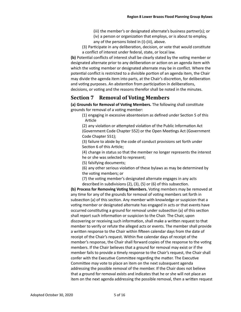- (iii) the member's or designated alternate's business partner(s); or
- (iv) a person or organization that employs, or is about to employ,
- any of the persons listed in (i)-(iii), above.
- (3) Participate in any deliberation, decision, or vote that would constitute a conflict of interest under federal, state, or local law.

**(b)** Potential conflicts of interest shall be clearly stated by the voting member or designated alternate prior to any deliberation or action on an agenda item with which the voting member or designated alternate may be in conflict. Where the potential conflict is restricted to a divisible portion of an agenda item, the Chair may divide the agenda item into parts, at the Chair's discretion, for deliberation and voting purposes. An abstention from participation in deliberations, decisions, or voting and the reasons therefor shall be noted in the minutes.

#### <span id="page-8-0"></span>**Section 7 Removal of Voting Members**

(a) Grounds for Removal of Voting Members. The following shall constitute grounds for removal of a voting member:

(1) engaging in excessive absenteeism as defined under Section 5 of this Article

(2) any violation or attempted violation of the Public Information Act (Government Code Chapter 552) or the Open Meetings Act (Government) Code Chapter 551);

(3) failure to abide by the code of conduct provisions set forth under Section 6 of this Article;

(4) change in status so that the member no longer represents the interest he or she was selected to represent;

(5) falsifying documents;

(6) any other serious violation of these bylaws as may be determined by the voting members; or

(7) the voting member's designated alternate engages in any acts described in subdivisions (2), (3), (5) or (6) of this subsection.

**(b) Process for Removing Voting Members.** Voting members may be removed at any time for any of the grounds for removal of voting members set forth in subsection (a) of this section. Any member with knowledge or suspicion that a voting member or designated alternate has engaged in acts or that events have occurred constituting a ground for removal under subsection (a) of this section shall report such information or suspicion to the Chair. The Chair, upon discovering or receiving such information, shall make a written request to that member to verify or refute the alleged acts or events. The member shall provide a written response to the Chair within fifteen calendar days from the date of receipt of the Chair's request. Within five calendar days of receipt of the member's response, the Chair shall forward copies of the response to the voting members. If the Chair believes that a ground for removal may exist or if the member fails to provide a timely response to the Chair's request, the Chair shall confer with the Executive Committee regarding the matter. The Executive Commitee may vote to place an item on the next subsequent agenda addressing the possible removal of the member. If the Chair does not believe that a ground for removal exists and indicates that he or she will not place an item on the next agenda addressing the possible removal, then a writen request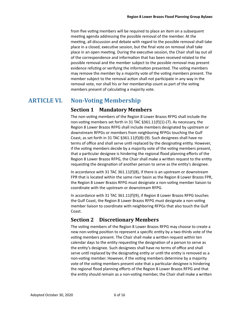from five voting members will be required to place an item on a subsequent meeting agenda addressing the possible removal of the member. At the meeting, all discussion and debate with regard to the possible removal shall take place in a closed, execu�ve session, but the final vote on removal shall take place in an open meeting. During the executive session, the Chair shall lay out all of the correspondence and information that has been received related to the possible removal and the member subject to the possible removal may present evidence refuting or verifying the information presented. The voting members may remove the member by a majority vote of the voting members present. The member subject to the removal action shall not participate in any way in the removal vote, nor shall his or her membership count as part of the voting members present of calculating a majority vote.

## <span id="page-9-1"></span><span id="page-9-0"></span>**ARTICLE VI. Non-Voting Membership**

#### **Section 1 Mandatory Members**

The non-voting members of the Region 8 Lower Brazos RFPG shall include the non-voting members set forth in 31 TAC §361.11(f)(1)-(7). As necessary, the Region 8 Lower Brazos RFPG shall include members designated by upstream or downstream RFPGs or members from neighboring RFPGs touching the Gulf Coast, as set forth in 31 TAC §361.11(f)(8)-(9). Such designees shall have no terms of office and shall serve until replaced by the designating entity. However, if the voting members decide by a majority vote of the voting members present, that a particular designee is hindering the regional flood planning efforts of the Region 8 Lower Brazos RFPG, the Chair shall make a writen request to the en�ty requesting the designation of another person to serve as the entity's designee.

In accordance with 31 TAC 361.11(f)(8), if there is an upstream or downstream FPR that is located within the same river basin as the Region 8 Lower Brazos FPR, the Region 8 Lower Brazos RFPG must designate a non-voting member liaison to coordinate with the upstream or downstream RFPG.

In accordance with 31 TAC 361.11(f)(9), if Region 8 Lower Brazos RFPG touches the Gulf Coast, the Region 8 Lower Brazos RFPG must designate a non-voting member liaison to coordinate with neighboring RFPGs that also touch the Gulf Coast.

#### <span id="page-9-2"></span>**Section 2 Discretionary Members**

The voting members of the Region 8 Lower Brazos RFPG may choose to create a new non-voting position to represent a specific entity by a two-thirds vote of the voting members present. The Chair shall make a written request within ten calendar days to the entity requesting the designation of a person to serve as the entity's designee. Such designees shall have no terms of office and shall serve until replaced by the designating entity or until the entity is removed as a non-voting member. However, if the voting members determine by a majority vote of the voting members present vote that a particular designee is hindering the regional flood planning efforts of the Region 8 Lower Brazos RFPG and that the entity should remain as a non-voting member, the Chair shall make a written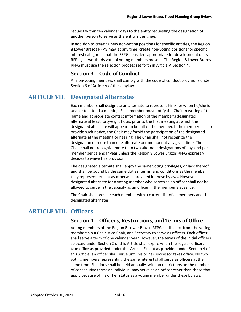request within ten calendar days to the entity requesting the designation of another person to serve as the entity's designee.

In addition to creating new non-voting positions for specific entities, the Region 8 Lower Brazos RFPG may, at any time, create non-voting positions for specific interest categories that the RFPG considers appropriate for development of its RFP by a two-thirds vote of voting members present. The Region 8 Lower Brazos RFPG must use the selection process set forth in Article V, Section 4.

#### **Section 3 Code of Conduct**

All non-voting members shall comply with the code of conduct provisions under Section 6 of Article V of these bylaws.

## <span id="page-10-1"></span><span id="page-10-0"></span>**ARTICLE VII. Designated Alternates**

Each member shall designate an alternate to represent him/her when he/she is unable to attend a meeting. Each member must notify the Chair in writing of the name and appropriate contact information of the member's designated alternate at least forty-eight hours prior to the first meeting at which the designated alternate will appear on behalf of the member. If the member fails to provide such notice, the Chair may forbid the participation of the designated alternate at the meeting or hearing. The Chair shall not recognize the designation of more than one alternate per member at any given time. The Chair shall not recognize more than two alternate designations of any kind per member per calendar year unless the Region 8 Lower Brazos RFPG expressly decides to waive this provision.

The designated alternate shall enjoy the same voting privileges, or lack thereof, and shall be bound by the same duties, terms, and conditions as the member they represent, except as otherwise provided in these bylaws. However, a designated alternate for a voting member who serves as an officer shall not be allowed to serve in the capacity as an officer in the member's absence.

The Chair shall provide each member with a current list of all members and their designated alternates.

## <span id="page-10-3"></span><span id="page-10-2"></span>**ARTICLE VIII. Of�icers**

#### **Section 1 Officers, Restrictions, and Terms of Office**

Voting members of the Region 8 Lower Brazos RFPG shall select from the voting membership a Chair, Vice Chair, and Secretary to serve as officers. Each officer shall serve a term of one calendar year. However, the terms of the initial officers selected under Section 2 of this Article shall expire when the regular officers take office as provided under this Article. Except as provided under Section 4 of this Article, an officer shall serve until his or her successor takes office. No two voting members representing the same interest shall serve as officers at the same time. Elections shall be held annually, with no restrictions on the number of consecutive terms an individual may serve as an officer other than those that apply because of his or her status as a voting member under these bylaws.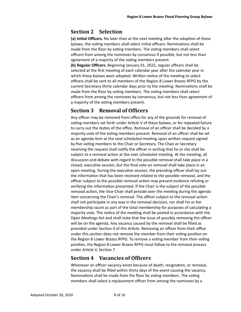### <span id="page-11-0"></span>**Section 2 Selection**

(a) Initial Officers. No later than at the next meeting after the adoption of these bylaws, the voting members shall select initial officers. Nominations shall be made from the floor by voting members. The voting members shall select officers from among the nominees by consensus if possible, but not less than agreement of a majority of the voting members present.

**(b) Regular Officers.** Beginning January 01, 2022, regular officers shall be selected at the first meeting of each calendar year after the calendar year in which these bylaws were adopted. Written notice of the meeting to select officers shall be sent to all members of the Region 8 Lower Brazos RFPG by the current Secretary thirty calendar days prior to the meeting. Nominations shall be made from the floor by voting members. The voting members shall select officers from among the nominees by consensus, but not less than agreement of a majority of the voting members present.

#### <span id="page-11-1"></span>**Section 3 Removal of Officers**

Any officer may be removed from office for any of the grounds for removal of voting members set forth under Article V of these bylaws, or for repeated failure to carry out the duties of the office. Removal of an officer shall be decided by a majority vote of the voting members present. Removal of an officer shall be set as an agenda item at the next scheduled meeting upon written request signed by five voting members to the Chair or Secretary. The Chair or Secretary receiving the request shall notify the officer in writing that he or she shall be subject to a removal action at the next scheduled meeting. At the meeting, all discussion and debate with regard to the possible removal shall take place in a closed, executive session, but the final vote on removal shall take place in an open meeting. During the executive session, the presiding officer shall lay out the information that has been received related to the possible removal, and the officer subject to the possible removal action may present evidence refuting or verifying the information presented. If the Chair is the subject of the possible removal action, the Vice-Chair shall preside over the meeting during the agenda item concerning the Chair's removal. The officer subject to the removal action shall not participate in any way in the removal decision, nor shall his or her membership count as part of the total membership for purposes of calculating a majority vote. The notice of the meeting shall be posted in accordance with the Open Meetings Act and shall state that the issue of possibly removing the officer will be on the agenda. Any vacancy caused by the removal shall be filled as provided under Section 4 of this Article. Removing an officer from their office under this section does not remove the member from their voting position on the Region 8 Lower Brazos RFPG. To remove a voting member from their voting position, the Region 8 Lower Brazos RFPG must follow to the removal process under Article V. Section 7.

#### <span id="page-11-2"></span>**Section 4 Vacancies of Officers**

Whenever an officer vacancy exists because of death, resignation, or removal, the vacancy shall be filled within thirty days of the event causing the vacancy. Nominations shall be made from the floor by voting members. The voting members shall select a replacement officer from among the nominees by a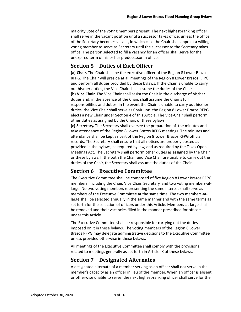majority vote of the voting members present. The next highest-ranking officer shall serve in the vacant position until a successor takes office, unless the office of the Secretary becomes vacant, in which case the Chair shall appoint a willing voting member to serve as Secretary until the successor to the Secretary takes office. The person selected to fill a vacancy for an officer shall serve for the unexpired term of his or her predecessor in office.

#### <span id="page-12-0"></span>**Section 5 Duties of Each Officer**

**(a) Chair.** The Chair shall be the execu�ve officer of the Region 8 Lower Brazos RFPG. The Chair will preside at all meetings of the Region 8 Lower Brazos RFPG and perform all duties provided by these bylaws. If the Chair is unable to carry out his/her duties, the Vice Chair shall assume the duties of the Chair. **(b) Vice Chair.** The Vice Chair shall assist the Chair in the discharge of his/her duties and, in the absence of the Chair, shall assume the Chair's full responsibilities and duties. In the event the Chair is unable to carry out his/her duties, the Vice Chair shall serve as Chair until the Region 8 Lower Brazos RFPG elects a new Chair under Section 4 of this Article. The Vice-Chair shall perform other duties as assigned by the Chair, or these bylaws.

**(c) Secretary.** The Secretary shall oversee the preparation of the minutes and take attendance of the Region 8 Lower Brazos RFPG meetings. The minutes and atendance shall be kept as part of the Region 8 Lower Brazos RFPG official records. The Secretary shall ensure that all notices are properly posted as provided in the bylaws, as required by law, and as required by the Texas Open Meetings Act. The Secretary shall perform other duties as assigned by the Chair or these bylaws. If the both the Chair and Vice Chair are unable to carry out the duties of the Chair, the Secretary shall assume the duties of the Chair.

#### <span id="page-12-1"></span>**Section 6 Executive Committee**

The Executive Committee shall be composed of five Region 8 Lower Brazos RFPG members, including the Chair, Vice Chair, Secretary, and two voting members-atlarge. No two voting members representing the same interest shall serve as members of the Executive Committee at the same time. The two members-atlarge shall be selected annually in the same manner and with the same terms as set forth for the selection of officers under this Article. Members-at-large shall be removed and their vacancies filled in the manner prescribed for officers under this Article.

The Executive Committee shall be responsible for carrying out the duties imposed on it in these bylaws. The voting members of the Region 8 Lower Brazos RFPG may delegate administrative decisions to the Executive Committee unless provided otherwise in these bylaws.

All meetings of the Executive Committee shall comply with the provisions related to meetings generally as set forth in Article IX of these bylaws.

#### <span id="page-12-2"></span>**Section 7 Designated Alternates**

A designated alternate of a member serving as an officer shall not serve in the member's capacity as an officer in lieu of the member. When an officer is absent or otherwise unable to serve, the next highest-ranking officer shall serve for the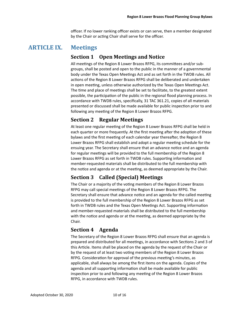officer. If no lower ranking officer exists or can serve, then a member designated by the Chair or acting Chair shall serve for the officer.

#### <span id="page-13-1"></span><span id="page-13-0"></span>**ARTICLE IX. Meetings**

#### **Section 1 Open Meetings and Notice**

All meetings of the Region 8 Lower Brazos RFPG, its committees and/or subgroups, shall be posted and open to the public in the manner of a governmental body under the Texas Open Meetings Act and as set forth in the TWDB rules. All actions of the Region 8 Lower Brazos RFPG shall be deliberated and undertaken in open meeting, unless otherwise authorized by the Texas Open Meetings Act. The time and place of meetings shall be set to facilitate, to the greatest extent possible, the par�cipa�on of the public in the regional flood planning process. In accordance with TWDB rules, specifically, 31 TAC 361.21, copies of all materials presented or discussed shall be made available for public inspection prior to and following any meeting of the Region 8 Lower Brazos RFPG.

#### <span id="page-13-2"></span>**Section 2 Regular Meetings**

At least one regular meeting of the Region 8 Lower Brazos RFPG shall be held in each quarter or more frequently. At the first meeting after the adoption of these bylaws and the first meeting of each calendar year thereafter, the Region 8 Lower Brazos RFPG shall establish and adopt a regular meeting schedule for the ensuing year. The Secretary shall ensure that an advance notice and an agenda for regular meetings will be provided to the full membership of the Region 8 Lower Brazos RFPG as set forth in TWDB rules. Supporting information and member-requested materials shall be distributed to the full membership with the notice and agenda or at the meeting, as deemed appropriate by the Chair.

#### <span id="page-13-3"></span>**Section 3 Called (Special) Meetings**

The Chair or a majority of the voting members of the Region 8 Lower Brazos RFPG may call special meetings of the Region 8 Lower Brazos RFPG. The Secretary shall ensure that advance notice and an agenda for the called meeting is provided to the full membership of the Region 8 Lower Brazos RFPG as set forth in TWDB rules and the Texas Open Meetings Act. Supporting information and member-requested materials shall be distributed to the full membership with the notice and agenda or at the meeting, as deemed appropriate by the Chair.

#### <span id="page-13-4"></span>**Section 4 Agenda**

The Secretary of the Region 8 Lower Brazos RFPG shall ensure that an agenda is prepared and distributed for all meetings, in accordance with Sections 2 and 3 of this Ar�cle. Items shall be placed on the agenda by the request of the Chair or by the request of at least two vo�ng members of the Region 8 Lower Brazos RFPG. Consideration for approval of the previous meeting's minutes, as applicable, shall always be among the first items on the agenda. Copies of the agenda and all supporting information shall be made available for public inspection prior to and following any meeting of the Region 8 Lower Brazos RFPG, in accordance with TWDB rules.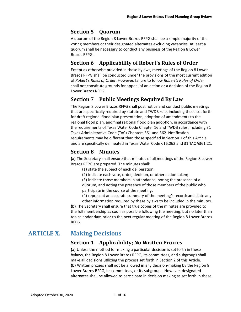#### <span id="page-14-0"></span>**Section 5 Quorum**

A quorum of the Region 8 Lower Brazos RFPG shall be a simple majority of the voting members or their designated alternates excluding vacancies. At least a quorum shall be necessary to conduct any business of the Region 8 Lower Brazos RFPG.

#### <span id="page-14-1"></span>**Section 6 Applicability of Robert's Rules of Order**

Except as otherwise provided in these bylaws, meetings of the Region 8 Lower Brazos RFPG shall be conducted under the provisions of the most current edition of *Robert's Rules of Order*. However, failure to follow *Robert's Rules of Order* shall not constitute grounds for appeal of an action or a decision of the Region 8 Lower Brazos RFPG.

#### <span id="page-14-2"></span>**Section 7 Public Meetings Required By Law**

The Region 8 Lower Brazos RFPG shall post notice and conduct public meetings that are specifically required by statute and TWDB rule, including those set forth for draft regional flood plan presentation, adoption of amendments to the regional flood plan, and final regional flood plan adoption, in accordance with the requirements of Texas Water Code Chapter 16 and TWDB rules, including 31 Texas Administrative Code (TAC) Chapters 361 and 362. Notification requirements may be different than those specified in Section 1 of this Article and are specifically delineated in Texas Water Code §16.062 and 31 TAC §361.21.

#### <span id="page-14-3"></span>**Section 8 Minutes**

**(a)** The Secretary shall ensure that minutes of all meetings of the Region 8 Lower Brazos RFPG are prepared. The minutes shall:

 $(1)$  state the subject of each deliberation;

(2) indicate each vote, order, decision, or other action taken;

(3) indicate those members in attendance, noting the presence of a quorum, and noting the presence of those members of the public who participate in the course of the meeting;

(4) represent an accurate summary of the meeting's record; and state any other information required by these bylaws to be included in the minutes.

**(b)** The Secretary shall ensure that true copies of the minutes are provided to the full membership as soon as possible following the meeting, but no later than ten calendar days prior to the next regular meeting of the Region 8 Lower Brazos RFPG.

## <span id="page-14-5"></span><span id="page-14-4"></span>**ARTICLE X. Making Decisions**

#### **Section 1 Applicability; No Written Proxies**

**(a)** Unless the method for making a par�cular decision is set forth in these bylaws, the Region 8 Lower Brazos RFPG, its commitees, and subgroups shall make all decisions utilizing the process set forth in Section 2 of this Article. **(b)** Writen proxies shall not be allowed in any decision-making by the Region 8 Lower Brazos RFPG, its commitees, or its subgroups. However, designated alternates shall be allowed to participate in decision making as set forth in these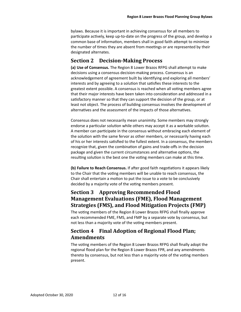bylaws. Because it is important in achieving consensus for all members to participate actively, keep up-to-date on the progress of the group, and develop a common base of information, members shall in good faith attempt to minimize the number of times they are absent from meetings or are represented by their designated alternates.

#### <span id="page-15-0"></span>**Section 2 Decision-Making Process**

**(a) Use of Consensus.** The Region 8 Lower Brazos RFPG shall atempt to make decisions using a consensus decision-making process. Consensus is an acknowledgement of agreement built by identifying and exploring all members' interests and by agreeing to a solution that satisfies these interests to the greatest extent possible. A consensus is reached when all voting members agree that their major interests have been taken into consideration and addressed in a satisfactory manner so that they can support the decision of the group, or at least not object. The process of building consensus involves the development of alternatives and the assessment of the impacts of those alternatives.

Consensus does not necessarily mean unanimity. Some members may strongly endorse a particular solution while others may accept it as a workable solution. A member can par�cipate in the consensus without embracing each element of the solution with the same fervor as other members, or necessarily having each of his or her interests satisfied to the fullest extent. In a consensus, the members recognize that, given the combination of gains and trade-offs in the decision package and given the current circumstances and alternative options, the resulting solution is the best one the voting members can make at this time.

**(b) Failure to Reach Consensus.** If after good faith negotiations it appears likely to the Chair that the voting members will be unable to reach consensus, the Chair shall entertain a motion to put the issue to a vote to be conclusively decided by a majority vote of the voting members present.

#### <span id="page-15-1"></span>**Section 3 Approving Recommended Flood Management Evaluations (FME), Flood Management Strategies (FMS), and Flood Mitigation Projects (FMP)**

The voting members of the Region 8 Lower Brazos RFPG shall finally approve each recommended FME, FMS, and FMP by a separate vote by consensus, but not less than a majority vote of the voting members present.

#### <span id="page-15-2"></span>**Section 4 Final Adoption of Regional Flood Plan; Amendments**

The voting members of the Region 8 Lower Brazos RFPG shall finally adopt the regional flood plan for the Region 8 Lower Brazos FPR, and any amendments thereto by consensus, but not less than a majority vote of the voting members present.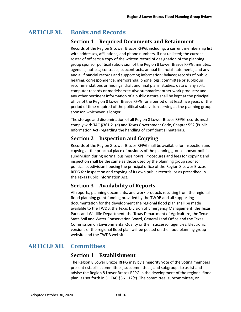## <span id="page-16-1"></span><span id="page-16-0"></span>**ARTICLE XI. Books and Records**

#### **Section 1 Required Documents and Retainment**

Records of the Region 8 Lower Brazos RFPG, including: a current membership list with addresses, affiliations, and phone numbers, if not unlisted; the current roster of officers; a copy of the written record of designation of the planning group sponsor political subdivision of the Region 8 Lower Brazos RFPG; minutes; agendas; notices; contracts, subcontracts, annual financial statements, and any and all financial records and supporting information; bylaws; records of public hearing; correspondence; memoranda; phone logs; commitee or subgroup recommendations or findings; draft and final plans; studies; data of any sort; computer records or models; executive summaries; other work products; and any other pertinent information of a public nature shall be kept at the principal office of the Region 8 Lower Brazos RFPG for a period of at least five years or the period of time required of the political subdivision serving as the planning group sponsor, whichever is longer.

The storage and dissemination of all Region 8 Lower Brazos RFPG records must comply with TAC §361.21(d) and Texas Government Code, Chapter 552 (Public Information Act) regarding the handling of confidential materials.

#### <span id="page-16-2"></span>**Section 2 Inspection and Copying**

Records of the Region 8 Lower Brazos RFPG shall be available for inspection and copying at the principal place of business of the planning group sponsor poli�cal subdivision during normal business hours. Procedures and fees for copying and inspection shall be the same as those used by the planning group sponsor political subdivision housing the principal office of the Region 8 Lower Brazos RFPG for inspection and copying of its own public records, or as prescribed in the Texas Public Information Act.

#### <span id="page-16-3"></span>**Section 3 Availability of Reports**

All reports, planning documents, and work products resulting from the regional flood planning grant funding provided by the TWDB and all supporting documentation for the development the regional flood plan shall be made available to the TWDB, the Texas Division of Emergency Management, the Texas Parks and Wildlife Department, the Texas Department of Agriculture, the Texas State Soil and Water Conservation Board, General Land Office and the Texas Commission on Environmental Quality or their successor agencies. Electronic versions of the regional flood plan will be posted on the flood planning group website and the TWDB website.

## <span id="page-16-5"></span><span id="page-16-4"></span>**ARTICLE XII. Committees**

#### **Section 1 Establishment**

The Region 8 Lower Brazos RFPG may by a majority vote of the voting members present establish commitees, subcommitees, and subgroups to assist and advise the Region 8 Lower Brazos RFPG in the development of the regional flood plan, as set forth in 31 TAC §361.12(c). The commitee, subcommitee, or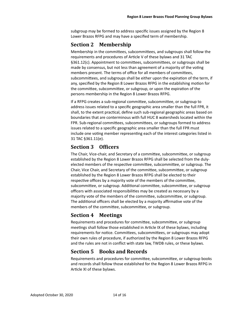subgroup may be formed to address specific issues assigned by the Region 8 Lower Brazos RFPG and may have a specified term of membership.

#### <span id="page-17-0"></span>**Section 2 Membership**

Membership in the commitees, subcommitees, and subgroups shall follow the requirements and procedures of Article V of these bylaws and 31 TAC §361.12(c). Appointment to commitees, subcommitees, or subgroups shall be made by consensus, but not less than agreement of a majority of the voting members present. The terms of office for all members of commitees, subcommittees, and subgroups shall be either upon the expiration of the term, if any, specified by the Region 8 Lower Brazos RFPG in the establishing motion for the committee, subcommittee, or subgroup, or upon the expiration of the persons membership in the Region 8 Lower Brazos RFPG.

If a RFPG creates a sub-regional commitee, subcommitee, or subgroup to address issues related to a specific geographic area smaller than the full FPR, it shall, to the extent prac�cal, define such sub-regional geographic areas based on boundaries that are conterminous with full HUC 8 watersheds located within the FPR. Sub-regional commitees, subcommitees, or subgroups formed to address issues related to a specific geographic area smaller than the full FPR must include one voting member representing each of the interest categories listed in 31 TAC §361.11(e).

#### <span id="page-17-1"></span>**Section 3 Officers**

The Chair, Vice-chair, and Secretary of a commitee, subcommitee, or subgroup established by the Region 8 Lower Brazos RFPG shall be selected from the dulyelected members of the respective committee, subcommittee, or subgroup. The Chair, Vice Chair, and Secretary of the commitee, subcommitee, or subgroup established by the Region 8 Lower Brazos RFPG shall be elected to their respective offices by a majority vote of the members of the committee, subcommittee, or subgroup. Additional committee, subcommittee, or subgroup officers with associated responsibili�es may be created as necessary by a majority vote of the members of the commitee, subcommitee, or subgroup. The additional officers shall be elected by a majority affirmative vote of the members of the commitee, subcommitee, or subgroup.

#### <span id="page-17-2"></span>**Section 4 Meetings**

Requirements and procedures for commitee, subcommitee, or subgroup meetings shall follow those established in Article IX of these bylaws, including requirements for notice. Committees, subcommittees, or subgroups may adopt their own rules of procedure, if authorized by the Region 8 Lower Brazos RFPG and the rules are not in conflict with state law, TWDB rules, or these bylaws.

#### <span id="page-17-3"></span>**Section 5 Books and Records**

Requirements and procedures for commitee, subcommitee, or subgroup books and records shall follow those established for the Region 8 Lower Brazos RFPG in Article XI of these bylaws.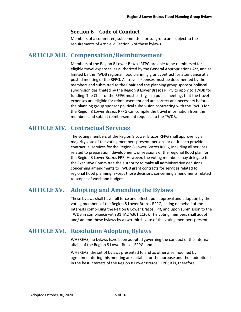#### **Section 6 Code of Conduct**

Members of a commitee, subcommitee, or subgroup are subject to the requirements of Article V, Section 6 of these bylaws.

### <span id="page-18-1"></span><span id="page-18-0"></span>**ARTICLE XIII. Compensation/Reimbursement**

Members of the Region 8 Lower Brazos RFPG are able to be reimbursed for eligible travel expenses, as authorized by the General Appropriations Act, and as limited by the TWDB regional flood planning grant contract for atendance at a posted meeting of the RFPG. All travel expenses must be documented by the members and submitted to the Chair and the planning group sponsor political subdivision designated by the Region 8 Lower Brazos RFPG to apply to TWDB for funding. The Chair of the RFPG must certify, in a public meeting, that the travel expenses are eligible for reimbursement and are correct and necessary before the planning group sponsor political subdivision contracting with the TWDB for the Region 8 Lower Brazos RFPG can compile the travel information from the members and submit reimbursement requests to the TWDB.

## <span id="page-18-2"></span>**ARTICLE XIV. Contractual Services**

The voting members of the Region 8 Lower Brazos RFPG shall approve, by a majority vote of the voting members present, persons or entities to provide contractual services for the Region 8 Lower Brazos RFPG, including all services related to preparation, development, or revisions of the regional flood plan for the Region 8 Lower Brazos FPR. However, the voting members may delegate to the Executive Committee the authority to make all administrative decisions concerning amendments to TWDB grant contracts for services related to regional flood planning, except those decisions concerning amendments related to scopes of work and budgets.

## <span id="page-18-3"></span>**ARTICLE XV. Adopting and Amending the Bylaws**

These bylaws shall have full force and effect upon approval and adoption by the voting members of the Region 8 Lower Brazos RFPG, acting on behalf of the interests comprising the Region 8 Lower Brazos FPR, and upon submission to the TWDB in compliance with 31 TAC §361.11(d). The voting members shall adopt and/ amend these bylaws by a two-thirds vote of the voting members present.

## <span id="page-18-4"></span>**ARTICLE XVI. Resolution Adopting Bylaws**

WHEREAS, no bylaws have been adopted governing the conduct of the internal affairs of the Region 8 Lower Brazos RFPG; and

WHEREAS, the set of bylaws presented to and as otherwise modified by agreement during this meeting are suitable for the purpose and their adoption is in the best interests of the Region 8 Lower Brazos RFPG; it is, therefore,